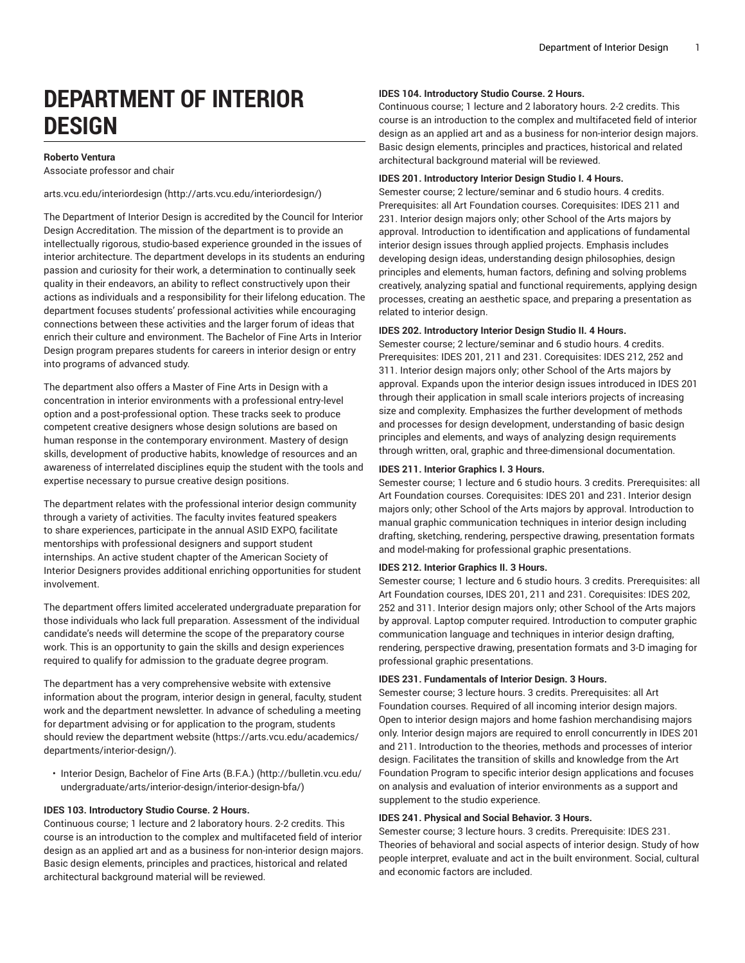# **DEPARTMENT OF INTERIOR DESIGN**

# **Roberto Ventura**

Associate professor and chair

[arts.vcu.edu/interiordesign](http://arts.vcu.edu/interiordesign/) ([http://arts.vcu.edu/interiordesign/\)](http://arts.vcu.edu/interiordesign/)

The Department of Interior Design is accredited by the Council for Interior Design Accreditation. The mission of the department is to provide an intellectually rigorous, studio-based experience grounded in the issues of interior architecture. The department develops in its students an enduring passion and curiosity for their work, a determination to continually seek quality in their endeavors, an ability to reflect constructively upon their actions as individuals and a responsibility for their lifelong education. The department focuses students' professional activities while encouraging connections between these activities and the larger forum of ideas that enrich their culture and environment. The Bachelor of Fine Arts in Interior Design program prepares students for careers in interior design or entry into programs of advanced study.

The department also offers a Master of Fine Arts in Design with a concentration in interior environments with a professional entry-level option and a post-professional option. These tracks seek to produce competent creative designers whose design solutions are based on human response in the contemporary environment. Mastery of design skills, development of productive habits, knowledge of resources and an awareness of interrelated disciplines equip the student with the tools and expertise necessary to pursue creative design positions.

The department relates with the professional interior design community through a variety of activities. The faculty invites featured speakers to share experiences, participate in the annual ASID EXPO, facilitate mentorships with professional designers and support student internships. An active student chapter of the American Society of Interior Designers provides additional enriching opportunities for student involvement.

The department offers limited accelerated undergraduate preparation for those individuals who lack full preparation. Assessment of the individual candidate's needs will determine the scope of the preparatory course work. This is an opportunity to gain the skills and design experiences required to qualify for admission to the graduate degree program.

The department has a very comprehensive website with extensive information about the program, interior design in general, faculty, student work and the department newsletter. In advance of scheduling a meeting for department advising or for application to the program, students should review the [department](https://arts.vcu.edu/academics/departments/interior-design/) website [\(https://arts.vcu.edu/academics/](https://arts.vcu.edu/academics/departments/interior-design/) [departments/interior-design/](https://arts.vcu.edu/academics/departments/interior-design/)).

• Interior Design, [Bachelor](http://bulletin.vcu.edu/undergraduate/arts/interior-design/interior-design-bfa/) of Fine Arts (B.F.A.) ([http://bulletin.vcu.edu/](http://bulletin.vcu.edu/undergraduate/arts/interior-design/interior-design-bfa/) [undergraduate/arts/interior-design/interior-design-bfa/\)](http://bulletin.vcu.edu/undergraduate/arts/interior-design/interior-design-bfa/)

# **IDES 103. Introductory Studio Course. 2 Hours.**

Continuous course; 1 lecture and 2 laboratory hours. 2-2 credits. This course is an introduction to the complex and multifaceted field of interior design as an applied art and as a business for non-interior design majors. Basic design elements, principles and practices, historical and related architectural background material will be reviewed.

## **IDES 104. Introductory Studio Course. 2 Hours.**

Continuous course; 1 lecture and 2 laboratory hours. 2-2 credits. This course is an introduction to the complex and multifaceted field of interior design as an applied art and as a business for non-interior design majors. Basic design elements, principles and practices, historical and related architectural background material will be reviewed.

## **IDES 201. Introductory Interior Design Studio I. 4 Hours.**

Semester course; 2 lecture/seminar and 6 studio hours. 4 credits. Prerequisites: all Art Foundation courses. Corequisites: IDES 211 and 231. Interior design majors only; other School of the Arts majors by approval. Introduction to identification and applications of fundamental interior design issues through applied projects. Emphasis includes developing design ideas, understanding design philosophies, design principles and elements, human factors, defining and solving problems creatively, analyzing spatial and functional requirements, applying design processes, creating an aesthetic space, and preparing a presentation as related to interior design.

#### **IDES 202. Introductory Interior Design Studio II. 4 Hours.**

Semester course; 2 lecture/seminar and 6 studio hours. 4 credits. Prerequisites: IDES 201, 211 and 231. Corequisites: IDES 212, 252 and 311. Interior design majors only; other School of the Arts majors by approval. Expands upon the interior design issues introduced in IDES 201 through their application in small scale interiors projects of increasing size and complexity. Emphasizes the further development of methods and processes for design development, understanding of basic design principles and elements, and ways of analyzing design requirements through written, oral, graphic and three-dimensional documentation.

## **IDES 211. Interior Graphics I. 3 Hours.**

Semester course; 1 lecture and 6 studio hours. 3 credits. Prerequisites: all Art Foundation courses. Corequisites: IDES 201 and 231. Interior design majors only; other School of the Arts majors by approval. Introduction to manual graphic communication techniques in interior design including drafting, sketching, rendering, perspective drawing, presentation formats and model-making for professional graphic presentations.

#### **IDES 212. Interior Graphics II. 3 Hours.**

Semester course; 1 lecture and 6 studio hours. 3 credits. Prerequisites: all Art Foundation courses, IDES 201, 211 and 231. Corequisites: IDES 202, 252 and 311. Interior design majors only; other School of the Arts majors by approval. Laptop computer required. Introduction to computer graphic communication language and techniques in interior design drafting, rendering, perspective drawing, presentation formats and 3-D imaging for professional graphic presentations.

## **IDES 231. Fundamentals of Interior Design. 3 Hours.**

Semester course; 3 lecture hours. 3 credits. Prerequisites: all Art Foundation courses. Required of all incoming interior design majors. Open to interior design majors and home fashion merchandising majors only. Interior design majors are required to enroll concurrently in IDES 201 and 211. Introduction to the theories, methods and processes of interior design. Facilitates the transition of skills and knowledge from the Art Foundation Program to specific interior design applications and focuses on analysis and evaluation of interior environments as a support and supplement to the studio experience.

#### **IDES 241. Physical and Social Behavior. 3 Hours.**

Semester course; 3 lecture hours. 3 credits. Prerequisite: IDES 231. Theories of behavioral and social aspects of interior design. Study of how people interpret, evaluate and act in the built environment. Social, cultural and economic factors are included.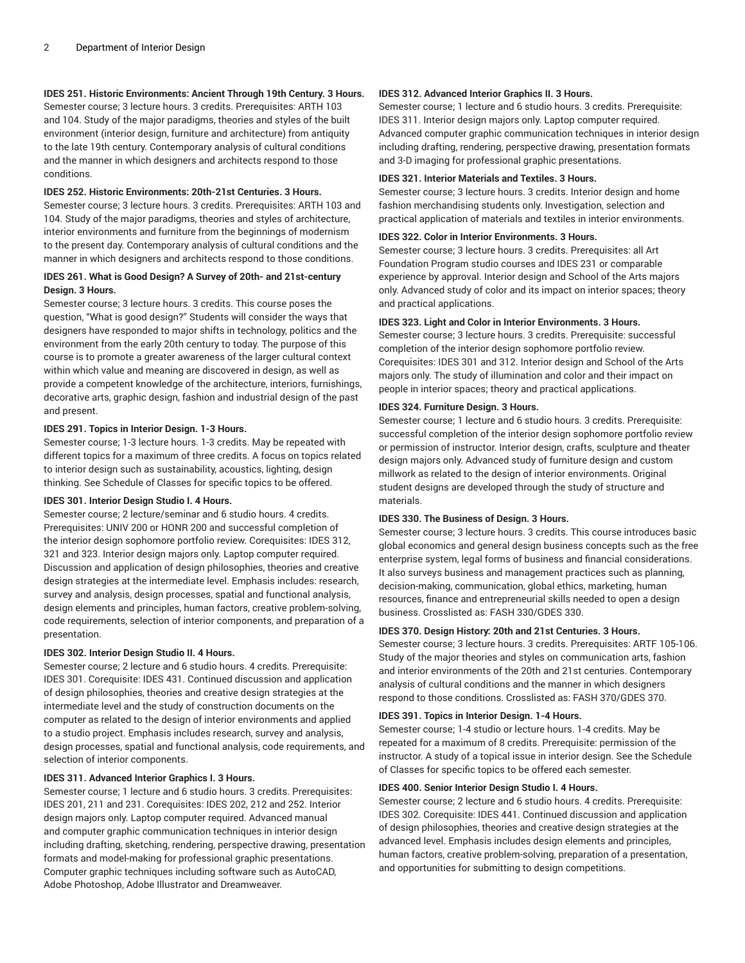# **IDES 251. Historic Environments: Ancient Through 19th Century. 3 Hours.**

Semester course; 3 lecture hours. 3 credits. Prerequisites: ARTH 103 and 104. Study of the major paradigms, theories and styles of the built environment (interior design, furniture and architecture) from antiquity to the late 19th century. Contemporary analysis of cultural conditions and the manner in which designers and architects respond to those conditions.

## **IDES 252. Historic Environments: 20th-21st Centuries. 3 Hours.**

Semester course; 3 lecture hours. 3 credits. Prerequisites: ARTH 103 and 104. Study of the major paradigms, theories and styles of architecture, interior environments and furniture from the beginnings of modernism to the present day. Contemporary analysis of cultural conditions and the manner in which designers and architects respond to those conditions.

# **IDES 261. What is Good Design? A Survey of 20th- and 21st-century Design. 3 Hours.**

Semester course; 3 lecture hours. 3 credits. This course poses the question, "What is good design?" Students will consider the ways that designers have responded to major shifts in technology, politics and the environment from the early 20th century to today. The purpose of this course is to promote a greater awareness of the larger cultural context within which value and meaning are discovered in design, as well as provide a competent knowledge of the architecture, interiors, furnishings, decorative arts, graphic design, fashion and industrial design of the past and present.

## **IDES 291. Topics in Interior Design. 1-3 Hours.**

Semester course; 1-3 lecture hours. 1-3 credits. May be repeated with different topics for a maximum of three credits. A focus on topics related to interior design such as sustainability, acoustics, lighting, design thinking. See Schedule of Classes for specific topics to be offered.

# **IDES 301. Interior Design Studio I. 4 Hours.**

Semester course; 2 lecture/seminar and 6 studio hours. 4 credits. Prerequisites: UNIV 200 or HONR 200 and successful completion of the interior design sophomore portfolio review. Corequisites: IDES 312, 321 and 323. Interior design majors only. Laptop computer required. Discussion and application of design philosophies, theories and creative design strategies at the intermediate level. Emphasis includes: research, survey and analysis, design processes, spatial and functional analysis, design elements and principles, human factors, creative problem-solving, code requirements, selection of interior components, and preparation of a presentation.

## **IDES 302. Interior Design Studio II. 4 Hours.**

Semester course; 2 lecture and 6 studio hours. 4 credits. Prerequisite: IDES 301. Corequisite: IDES 431. Continued discussion and application of design philosophies, theories and creative design strategies at the intermediate level and the study of construction documents on the computer as related to the design of interior environments and applied to a studio project. Emphasis includes research, survey and analysis, design processes, spatial and functional analysis, code requirements, and selection of interior components.

## **IDES 311. Advanced Interior Graphics I. 3 Hours.**

Semester course; 1 lecture and 6 studio hours. 3 credits. Prerequisites: IDES 201, 211 and 231. Corequisites: IDES 202, 212 and 252. Interior design majors only. Laptop computer required. Advanced manual and computer graphic communication techniques in interior design including drafting, sketching, rendering, perspective drawing, presentation formats and model-making for professional graphic presentations. Computer graphic techniques including software such as AutoCAD, Adobe Photoshop, Adobe Illustrator and Dreamweaver.

## **IDES 312. Advanced Interior Graphics II. 3 Hours.**

Semester course; 1 lecture and 6 studio hours. 3 credits. Prerequisite: IDES 311. Interior design majors only. Laptop computer required. Advanced computer graphic communication techniques in interior design including drafting, rendering, perspective drawing, presentation formats and 3-D imaging for professional graphic presentations.

#### **IDES 321. Interior Materials and Textiles. 3 Hours.**

Semester course; 3 lecture hours. 3 credits. Interior design and home fashion merchandising students only. Investigation, selection and practical application of materials and textiles in interior environments.

#### **IDES 322. Color in Interior Environments. 3 Hours.**

Semester course; 3 lecture hours. 3 credits. Prerequisites: all Art Foundation Program studio courses and IDES 231 or comparable experience by approval. Interior design and School of the Arts majors only. Advanced study of color and its impact on interior spaces; theory and practical applications.

## **IDES 323. Light and Color in Interior Environments. 3 Hours.**

Semester course; 3 lecture hours. 3 credits. Prerequisite: successful completion of the interior design sophomore portfolio review. Corequisites: IDES 301 and 312. Interior design and School of the Arts majors only. The study of illumination and color and their impact on people in interior spaces; theory and practical applications.

#### **IDES 324. Furniture Design. 3 Hours.**

Semester course; 1 lecture and 6 studio hours. 3 credits. Prerequisite: successful completion of the interior design sophomore portfolio review or permission of instructor. Interior design, crafts, sculpture and theater design majors only. Advanced study of furniture design and custom millwork as related to the design of interior environments. Original student designs are developed through the study of structure and materials.

#### **IDES 330. The Business of Design. 3 Hours.**

Semester course; 3 lecture hours. 3 credits. This course introduces basic global economics and general design business concepts such as the free enterprise system, legal forms of business and financial considerations. It also surveys business and management practices such as planning, decision-making, communication, global ethics, marketing, human resources, finance and entrepreneurial skills needed to open a design business. Crosslisted as: FASH 330/GDES 330.

## **IDES 370. Design History: 20th and 21st Centuries. 3 Hours.**

Semester course; 3 lecture hours. 3 credits. Prerequisites: ARTF 105-106. Study of the major theories and styles on communication arts, fashion and interior environments of the 20th and 21st centuries. Contemporary analysis of cultural conditions and the manner in which designers respond to those conditions. Crosslisted as: FASH 370/GDES 370.

## **IDES 391. Topics in Interior Design. 1-4 Hours.**

Semester course; 1-4 studio or lecture hours. 1-4 credits. May be repeated for a maximum of 8 credits. Prerequisite: permission of the instructor. A study of a topical issue in interior design. See the Schedule of Classes for specific topics to be offered each semester.

#### **IDES 400. Senior Interior Design Studio I. 4 Hours.**

Semester course; 2 lecture and 6 studio hours. 4 credits. Prerequisite: IDES 302. Corequisite: IDES 441. Continued discussion and application of design philosophies, theories and creative design strategies at the advanced level. Emphasis includes design elements and principles, human factors, creative problem-solving, preparation of a presentation, and opportunities for submitting to design competitions.